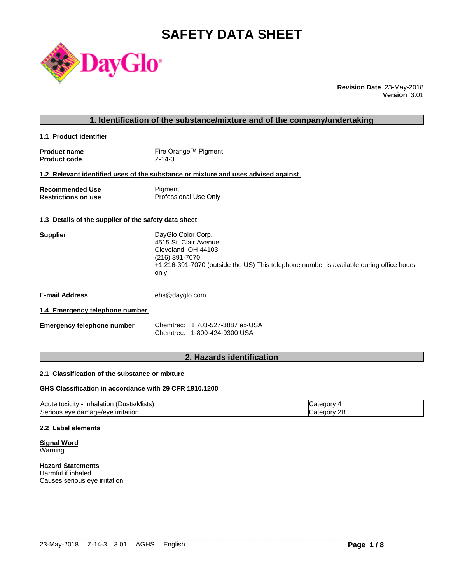# **SAFETY DATA SHEET**



**Revision Date** 23-May-2018 **Version** 3.01

# **1. Identification of the substance/mixture and of the company/undertaking**

**1.1 Product identifier** 

| <b>Product name</b> | Fire Orange™ Pigment |
|---------------------|----------------------|
| <b>Product code</b> | $Z - 14 - 3$         |

#### **1.2 Relevant identified uses of the substance or mixture and uses advised against**

| <b>Recommended Use</b>     | Pigment               |
|----------------------------|-----------------------|
| <b>Restrictions on use</b> | Professional Use Only |

#### **1.3 Details of the supplier of the safety data sheet**

| +1 216-391-7070 (outside the US) This telephone number is available during office hours |
|-----------------------------------------------------------------------------------------|
|                                                                                         |
|                                                                                         |

**E-mail Address** ehs@dayglo.com

#### **1.4 Emergency telephone number**

| <b>Emergency telephone number</b> | Chemtrec: +1 703-527-3887 ex-USA |  |
|-----------------------------------|----------------------------------|--|
|                                   | Chemtrec: 1-800-424-9300 USA     |  |

# **2. Hazards identification**

#### **2.1 Classification of the substance or mixture**

#### **GHS Classification in accordance with 29 CFR 1910.1200**

| $\sim$<br><b>IAcute</b><br>ا استدار ال<br>Inhalation<br>toxicity | זר זר                         |
|------------------------------------------------------------------|-------------------------------|
| Seri<br>irritation<br>nage/eve<br>s eve<br>aar<br>ுபட<br>.       | חר<br>ுட<br>עזנזו<br>ᅩ<br>. . |

 $\_$  ,  $\_$  ,  $\_$  ,  $\_$  ,  $\_$  ,  $\_$  ,  $\_$  ,  $\_$  ,  $\_$  ,  $\_$  ,  $\_$  ,  $\_$  ,  $\_$  ,  $\_$  ,  $\_$  ,  $\_$  ,  $\_$  ,  $\_$  ,  $\_$  ,  $\_$  ,  $\_$  ,  $\_$  ,  $\_$  ,  $\_$  ,  $\_$  ,  $\_$  ,  $\_$  ,  $\_$  ,  $\_$  ,  $\_$  ,  $\_$  ,  $\_$  ,  $\_$  ,  $\_$  ,  $\_$  ,  $\_$  ,  $\_$  ,

#### **2.2 Label elements**

**Signal Word** Warning

**Hazard Statements** Harmful if inhaled Causes serious eye irritation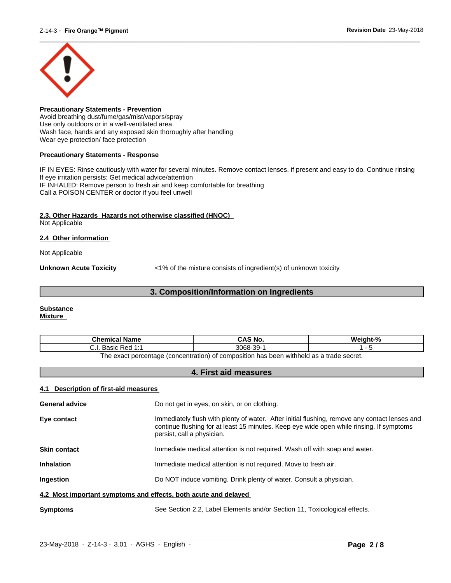

**Precautionary Statements - Prevention** Avoid breathing dust/fume/gas/mist/vapors/spray Use only outdoors or in a well-ventilated area Wash face, hands and any exposed skin thoroughly after handling Wear eye protection/ face protection

#### **Precautionary Statements - Response**

IF IN EYES: Rinse cautiously with water for several minutes. Remove contact lenses, if present and easy to do. Continue rinsing If eye irritation persists: Get medical advice/attention IF INHALED: Remove person to fresh air and keep comfortable for breathing Call a POISON CENTER or doctor if you feel unwell

#### **2.3. Other Hazards Hazards not otherwise classified (HNOC)**

Not Applicable

#### **2.4 Other information**

Not Applicable

**Unknown Acute Toxicity**  $\langle 1\%$  of the mixture consists of ingredient(s) of unknown toxicity

# **3. Composition/Information on Ingredients**

#### **Substance Mixture**

| Chemical<br>Name                                                                       | $\sim$ 10 M $\sim$<br>CAS<br>'S NO. | $\mathbf{a}$ |
|----------------------------------------------------------------------------------------|-------------------------------------|--------------|
| Red<br>منموت<br>והמכ<br>. ۱. ب<br>.                                                    | 3068-<br>ാറ<br>ື                    |              |
| The exact perceptage (concentration) of compection has been withhold as a trade secret |                                     |              |

The exact percentage (concentration) of composition has been withheld as a trade secret.

# **4. First aid measures**

## **4.1 Description of first-aid measures**

| <b>General advice</b>                                           | Do not get in eyes, on skin, or on clothing.                                                                                                                                                                            |
|-----------------------------------------------------------------|-------------------------------------------------------------------------------------------------------------------------------------------------------------------------------------------------------------------------|
| Eye contact                                                     | Immediately flush with plenty of water. After initial flushing, remove any contact lenses and<br>continue flushing for at least 15 minutes. Keep eye wide open while rinsing. If symptoms<br>persist, call a physician. |
| <b>Skin contact</b>                                             | Immediate medical attention is not required. Wash off with soap and water.                                                                                                                                              |
| <b>Inhalation</b>                                               | Immediate medical attention is not required. Move to fresh air.                                                                                                                                                         |
| Ingestion                                                       | Do NOT induce vomiting. Drink plenty of water. Consult a physician.                                                                                                                                                     |
| 4.2 Most important symptoms and effects, both acute and delayed |                                                                                                                                                                                                                         |
| <b>Symptoms</b>                                                 | See Section 2.2, Label Elements and/or Section 11, Toxicological effects.                                                                                                                                               |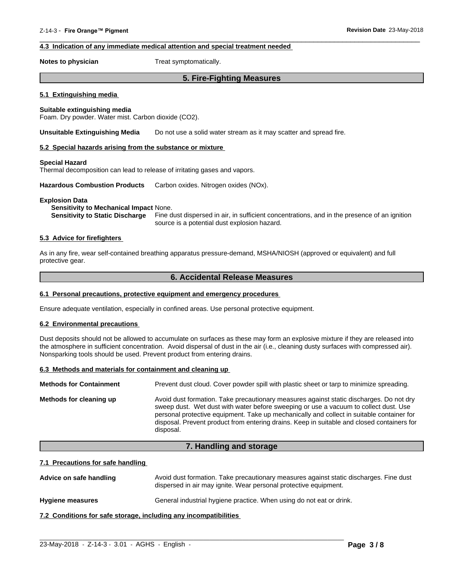### **4.3 Indication of any immediate medical attention and special treatment needed**

**Notes to physician** Treat symptomatically.

# **5. Fire-Fighting Measures**

 $\overline{\phantom{a}}$  ,  $\overline{\phantom{a}}$  ,  $\overline{\phantom{a}}$  ,  $\overline{\phantom{a}}$  ,  $\overline{\phantom{a}}$  ,  $\overline{\phantom{a}}$  ,  $\overline{\phantom{a}}$  ,  $\overline{\phantom{a}}$  ,  $\overline{\phantom{a}}$  ,  $\overline{\phantom{a}}$  ,  $\overline{\phantom{a}}$  ,  $\overline{\phantom{a}}$  ,  $\overline{\phantom{a}}$  ,  $\overline{\phantom{a}}$  ,  $\overline{\phantom{a}}$  ,  $\overline{\phantom{a}}$ 

#### **5.1 Extinguishing media**

#### **Suitable extinguishing media**

Foam. Dry powder. Water mist. Carbon dioxide (CO2).

**Unsuitable Extinguishing Media** Do not use a solid water stream as it may scatter and spread fire.

#### **5.2 Special hazards arising from the substance or mixture**

#### **Special Hazard**

Thermal decomposition can lead to release of irritating gases and vapors.

**Hazardous Combustion Products** Carbon oxides. Nitrogen oxides (NOx).

#### **Explosion Data**

#### **Sensitivity to Mechanical Impact** None.

**Sensitivity to Static Discharge** Fine dust dispersed in air, in sufficient concentrations, and in the presence of an ignition source is a potential dust explosion hazard.

#### **5.3 Advice for firefighters**

As in any fire, wear self-contained breathing apparatus pressure-demand, MSHA/NIOSH (approved or equivalent) and full protective gear.

### **6. Accidental Release Measures**

#### **6.1 Personal precautions, protective equipment and emergency procedures**

Ensure adequate ventilation, especially in confined areas. Use personal protective equipment.

#### **6.2 Environmental precautions**

Dust deposits should not be allowed to accumulate on surfaces as these may form an explosive mixture if they are released into the atmosphere in sufficient concentration. Avoid dispersal of dust in the air (i.e., cleaning dusty surfaces with compressed air). Nonsparking tools should be used. Prevent product from entering drains.

#### **6.3 Methods and materials for containment and cleaning up**

| <b>Methods for Containment</b> | Prevent dust cloud. Cover powder spill with plastic sheet or tarp to minimize spreading.                                                                                                                                                                                                                                                                                                |
|--------------------------------|-----------------------------------------------------------------------------------------------------------------------------------------------------------------------------------------------------------------------------------------------------------------------------------------------------------------------------------------------------------------------------------------|
| Methods for cleaning up        | Avoid dust formation. Take precautionary measures against static discharges. Do not dry<br>sweep dust. Wet dust with water before sweeping or use a vacuum to collect dust. Use<br>personal protective equipment. Take up mechanically and collect in suitable container for<br>disposal. Prevent product from entering drains. Keep in suitable and closed containers for<br>disposal. |

#### **7. Handling and storage**

#### **7.1 Precautions for safe handling**

Advice on safe handling **Avoid dust formation. Take precautionary measures against static discharges. Fine dust** dispersed in air may ignite. Wear personal protective equipment.

**Hygiene measures** General industrial hygiene practice. When using do not eat or drink.

**7.2 Conditions for safe storage, including any incompatibilities**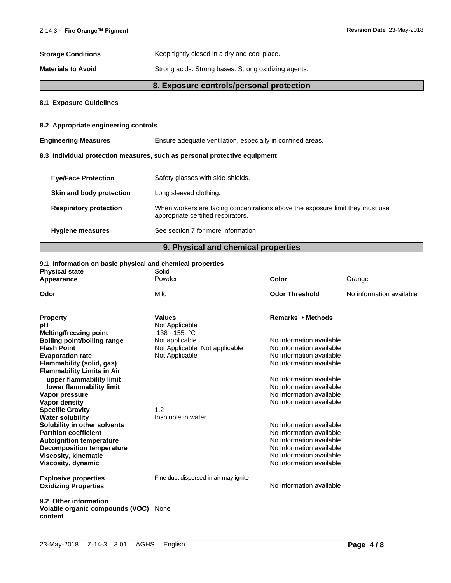| <b>Storage Conditions</b> | Keep tightly closed in a dry and cool place. |
|---------------------------|----------------------------------------------|
|                           |                                              |

**Materials to Avoid** Strong acids. Strong bases. Strong oxidizing agents.

# **8. Exposure controls/personal protection**

 $\overline{\phantom{a}}$  ,  $\overline{\phantom{a}}$  ,  $\overline{\phantom{a}}$  ,  $\overline{\phantom{a}}$  ,  $\overline{\phantom{a}}$  ,  $\overline{\phantom{a}}$  ,  $\overline{\phantom{a}}$  ,  $\overline{\phantom{a}}$  ,  $\overline{\phantom{a}}$  ,  $\overline{\phantom{a}}$  ,  $\overline{\phantom{a}}$  ,  $\overline{\phantom{a}}$  ,  $\overline{\phantom{a}}$  ,  $\overline{\phantom{a}}$  ,  $\overline{\phantom{a}}$  ,  $\overline{\phantom{a}}$ 

# **8.1 Exposure Guidelines**

# **8.2 Appropriate engineering controls**

| <b>Engineering Measures</b>   | Ensure adequate ventilation, especially in confined areas.                                                          |  |
|-------------------------------|---------------------------------------------------------------------------------------------------------------------|--|
|                               | 8.3 Individual protection measures, such as personal protective equipment                                           |  |
| <b>Eye/Face Protection</b>    | Safety glasses with side-shields.                                                                                   |  |
| Skin and body protection      | Long sleeved clothing.                                                                                              |  |
| <b>Respiratory protection</b> | When workers are facing concentrations above the exposure limit they must use<br>appropriate certified respirators. |  |
| <b>Hygiene measures</b>       | See section 7 for more information                                                                                  |  |

# **9. Physical and chemical properties**

# **9.1 Information on basic physical and chemical properties**

| <b>Physical state</b>                                               | Solid<br>Powder                       | <b>Color</b>             |                          |
|---------------------------------------------------------------------|---------------------------------------|--------------------------|--------------------------|
| Appearance                                                          |                                       |                          | Orange                   |
| Odor                                                                | Mild                                  | <b>Odor Threshold</b>    | No information available |
| <b>Property</b>                                                     | <b>Values</b>                         | Remarks • Methods        |                          |
| рH                                                                  | Not Applicable                        |                          |                          |
| <b>Melting/freezing point</b>                                       | 138 - 155 °C                          |                          |                          |
| Boiling point/boiling range                                         | Not applicable                        | No information available |                          |
| <b>Flash Point</b>                                                  | Not Applicable Not applicable         | No information available |                          |
| <b>Evaporation rate</b>                                             | Not Applicable                        | No information available |                          |
| Flammability (solid, gas)                                           |                                       | No information available |                          |
| <b>Flammability Limits in Air</b>                                   |                                       |                          |                          |
| upper flammability limit                                            |                                       | No information available |                          |
| lower flammability limit                                            |                                       | No information available |                          |
| Vapor pressure                                                      |                                       | No information available |                          |
| Vapor density                                                       |                                       | No information available |                          |
| <b>Specific Gravity</b>                                             | 1.2                                   |                          |                          |
| <b>Water solubility</b>                                             | Insoluble in water                    | No information available |                          |
| Solubility in other solvents<br><b>Partition coefficient</b>        |                                       | No information available |                          |
|                                                                     |                                       | No information available |                          |
| <b>Autoignition temperature</b><br><b>Decomposition temperature</b> |                                       | No information available |                          |
| <b>Viscosity, kinematic</b>                                         |                                       | No information available |                          |
| Viscosity, dynamic                                                  |                                       | No information available |                          |
|                                                                     |                                       |                          |                          |
| <b>Explosive properties</b>                                         | Fine dust dispersed in air may ignite |                          |                          |
| <b>Oxidizing Properties</b>                                         |                                       | No information available |                          |
|                                                                     |                                       |                          |                          |
| 9.2 Other information<br>Volatile organic compounds (VOC)           | None                                  |                          |                          |
| content                                                             |                                       |                          |                          |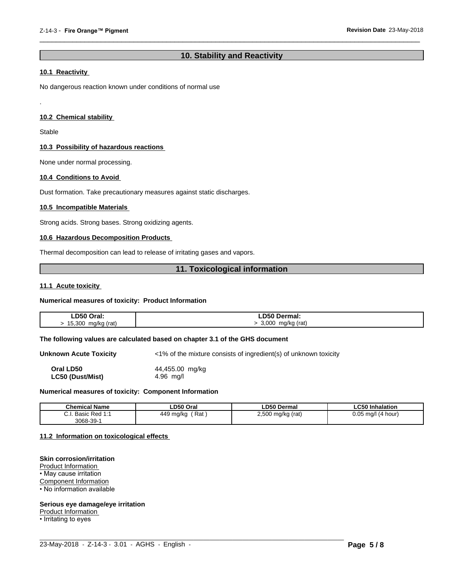# **10. Stability and Reactivity**

 $\overline{\phantom{a}}$  ,  $\overline{\phantom{a}}$  ,  $\overline{\phantom{a}}$  ,  $\overline{\phantom{a}}$  ,  $\overline{\phantom{a}}$  ,  $\overline{\phantom{a}}$  ,  $\overline{\phantom{a}}$  ,  $\overline{\phantom{a}}$  ,  $\overline{\phantom{a}}$  ,  $\overline{\phantom{a}}$  ,  $\overline{\phantom{a}}$  ,  $\overline{\phantom{a}}$  ,  $\overline{\phantom{a}}$  ,  $\overline{\phantom{a}}$  ,  $\overline{\phantom{a}}$  ,  $\overline{\phantom{a}}$ 

# **10.1 Reactivity**

No dangerous reaction known under conditions of normal use

### **10.2 Chemical stability**

Stable

.

#### **10.3 Possibility of hazardous reactions**

None under normal processing.

# **10.4 Conditions to Avoid**

Dust formation. Take precautionary measures against static discharges.

#### **10.5 Incompatible Materials**

Strong acids. Strong bases. Strong oxidizing agents.

#### **10.6 Hazardous Decomposition Products**

Thermal decomposition can lead to release of irritating gases and vapors.

# **11. Toxicological information**

#### **11.1 Acute toxicity**

#### **Numerical measures of toxicity: Product Information**

| LD50 Oral:<br>___<br>____ | <b>LD50 Dermal:</b>             |
|---------------------------|---------------------------------|
| 15.300<br>ma/ka (rat)     | 3,000<br>mg/kg (rat)<br>$\cdot$ |

#### **The following values are calculated based on chapter 3.1 of the GHS document**

**Unknown Acute Toxicity** <1% of the mixture consists of ingredient(s) of unknown toxicity **Oral LD50** 44,455.00 mg/kg<br> **LC50 (Dust/Mist)** 4.96 mg/l **LC50** (Dust/Mist)

#### **Numerical measures of toxicity: Component Information**

| <b>Chemical Name</b> | ∟D50 Oral                        | ∟D50 Dermal       | .C50 Inhalation                         |
|----------------------|----------------------------------|-------------------|-----------------------------------------|
| Basic Red 1:1        | Rat<br>$\Delta A$ O<br>449 mg/kg | 2,500 mg/kg (rat) | ስ ስნ<br>´4 hour)<br>, ma/l<br>.<br>υ.υυ |
| 3068-39-1            |                                  |                   |                                         |

 $\_$  ,  $\_$  ,  $\_$  ,  $\_$  ,  $\_$  ,  $\_$  ,  $\_$  ,  $\_$  ,  $\_$  ,  $\_$  ,  $\_$  ,  $\_$  ,  $\_$  ,  $\_$  ,  $\_$  ,  $\_$  ,  $\_$  ,  $\_$  ,  $\_$  ,  $\_$  ,  $\_$  ,  $\_$  ,  $\_$  ,  $\_$  ,  $\_$  ,  $\_$  ,  $\_$  ,  $\_$  ,  $\_$  ,  $\_$  ,  $\_$  ,  $\_$  ,  $\_$  ,  $\_$  ,  $\_$  ,  $\_$  ,  $\_$  ,

#### **11.2 Information on toxicologicaleffects**

#### **Skin corrosion/irritation**

Product Information • May cause irritation Component Information • No information available

#### **Serious eye damage/eye irritation**

Product Information

• Irritating to eyes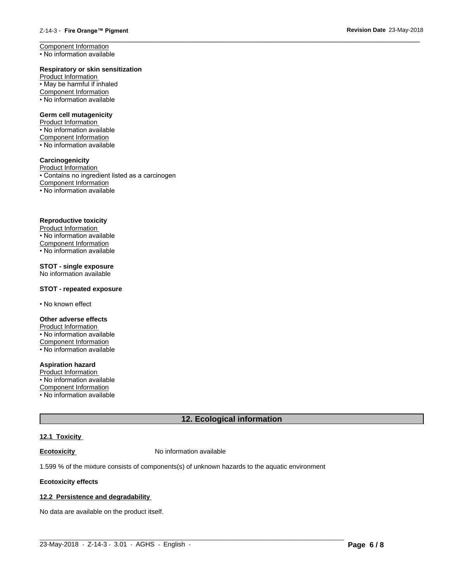#### **Respiratory or skin sensitization**

Product Information • May be harmful if inhaled Component Information • No information available

#### **Germ cell mutagenicity**

Product Information • No information available Component Information • No information available

#### **Carcinogenicity**

Product Information • Contains no ingredient listed as a carcinogen Component Information • No information available

# **Reproductive toxicity**

Product Information • No information available Component Information • No information available

### **STOT - single exposure**

No information available

#### **STOT - repeated exposure**

• No known effect

#### **Other adverse effects**

Product Information • No information available Component Information • No information available

# **Aspiration hazard**

Product Information  $\overline{\cdot}$  No information available

Component Information

• No information available

# **12. Ecological information**

# **12.1 Toxicity**

**Ecotoxicity No information available** 

1.599 % of the mixture consists of components(s) of unknown hazards to the aquatic environment

#### **Ecotoxicity effects**

#### **12.2 Persistence and degradability**

No data are available on the product itself.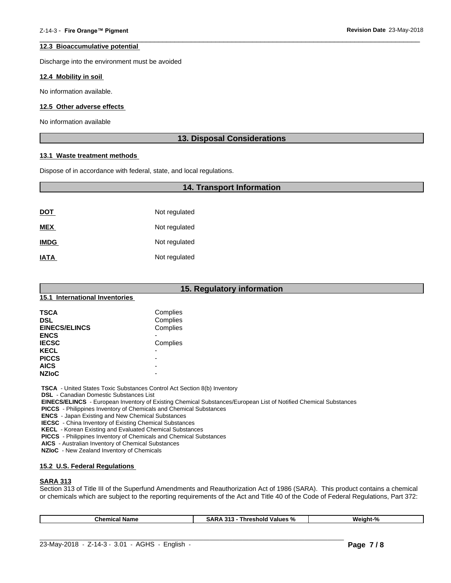#### **12.3 Bioaccumulative potential**

Discharge into the environment must be avoided

#### **12.4 Mobility in soil**

No information available.

#### **12.5 Other adverse effects**

No information available

# **13. Disposal Considerations**

 $\overline{\phantom{a}}$  ,  $\overline{\phantom{a}}$  ,  $\overline{\phantom{a}}$  ,  $\overline{\phantom{a}}$  ,  $\overline{\phantom{a}}$  ,  $\overline{\phantom{a}}$  ,  $\overline{\phantom{a}}$  ,  $\overline{\phantom{a}}$  ,  $\overline{\phantom{a}}$  ,  $\overline{\phantom{a}}$  ,  $\overline{\phantom{a}}$  ,  $\overline{\phantom{a}}$  ,  $\overline{\phantom{a}}$  ,  $\overline{\phantom{a}}$  ,  $\overline{\phantom{a}}$  ,  $\overline{\phantom{a}}$ 

#### **13.1 Waste treatment methods**

Dispose of in accordance with federal, state, and local regulations.

# **14. Transport Information**

| <u>DOT</u>  | Not regulated |
|-------------|---------------|
| <b>MEX</b>  | Not regulated |
| <b>IMDG</b> | Not regulated |
| <b>IATA</b> | Not regulated |

| 15. Regulatory information     |                          |  |  |  |
|--------------------------------|--------------------------|--|--|--|
| 15.1 International Inventories |                          |  |  |  |
| <b>TSCA</b>                    | Complies                 |  |  |  |
| <b>DSL</b>                     | Complies                 |  |  |  |
| <b>EINECS/ELINCS</b>           | Complies                 |  |  |  |
| <b>ENCS</b>                    |                          |  |  |  |
| <b>IECSC</b>                   | Complies                 |  |  |  |
| <b>KECL</b>                    |                          |  |  |  |
| <b>PICCS</b>                   |                          |  |  |  |
| <b>AICS</b>                    | $\overline{\phantom{0}}$ |  |  |  |
| <b>NZIoC</b>                   | $\overline{\phantom{a}}$ |  |  |  |

 **TSCA** - United States Toxic Substances Control Act Section 8(b) Inventory

 **DSL** - Canadian Domestic Substances List

 **EINECS/ELINCS** - European Inventory of Existing Chemical Substances/European List of Notified Chemical Substances

 **PICCS** - Philippines Inventory of Chemicals and Chemical Substances

 **ENCS** - Japan Existing and New Chemical Substances

 **IECSC** - China Inventory of Existing Chemical Substances

 **KECL** - Korean Existing and Evaluated Chemical Substances

 **PICCS** - Philippines Inventory of Chemicals and Chemical Substances

 **AICS** - Australian Inventory of Chemical Substances

 **NZIoC** - New Zealand Inventory of Chemicals

#### **15.2 U.S. Federal Regulations**

#### **SARA 313**

Section 313 of Title III of the Superfund Amendments and Reauthorization Act of 1986 (SARA). This product contains a chemical or chemicals which are subject to the reporting requirements of the Act and Title 40 of the Code of Federal Regulations, Part 372:

 $\_$  ,  $\_$  ,  $\_$  ,  $\_$  ,  $\_$  ,  $\_$  ,  $\_$  ,  $\_$  ,  $\_$  ,  $\_$  ,  $\_$  ,  $\_$  ,  $\_$  ,  $\_$  ,  $\_$  ,  $\_$  ,  $\_$  ,  $\_$  ,  $\_$  ,  $\_$  ,  $\_$  ,  $\_$  ,  $\_$  ,  $\_$  ,  $\_$  ,  $\_$  ,  $\_$  ,  $\_$  ,  $\_$  ,  $\_$  ,  $\_$  ,  $\_$  ,  $\_$  ,  $\_$  ,  $\_$  ,  $\_$  ,  $\_$  ,